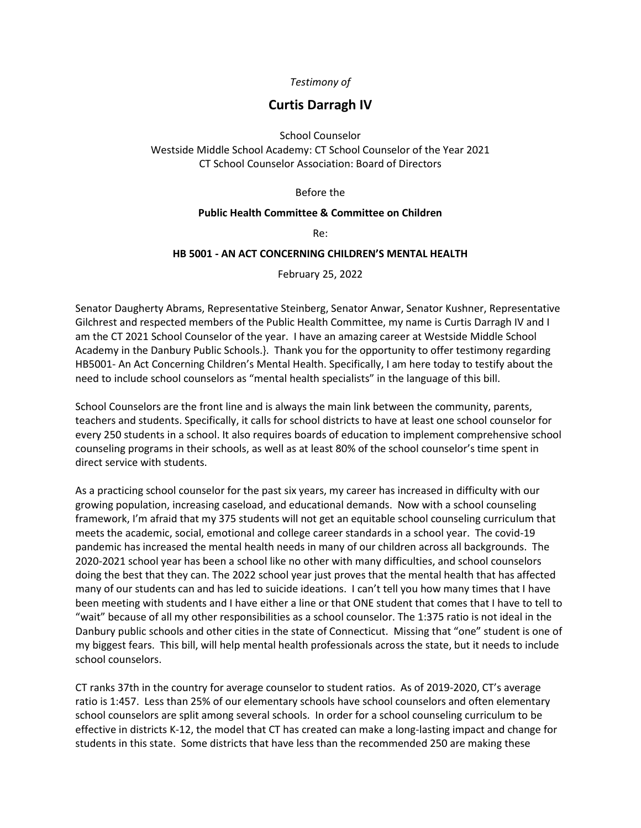## *Testimony of*

## **Curtis Darragh IV**

School Counselor Westside Middle School Academy: CT School Counselor of the Year 2021 CT School Counselor Association: Board of Directors

Before the

## **Public Health Committee & Committee on Children**

Re:

## **HB 5001 - AN ACT CONCERNING CHILDREN'S MENTAL HEALTH**

February 25, 2022

Senator Daugherty Abrams, Representative Steinberg, Senator Anwar, Senator Kushner, Representative Gilchrest and respected members of the Public Health Committee, my name is Curtis Darragh IV and I am the CT 2021 School Counselor of the year. I have an amazing career at Westside Middle School Academy in the Danbury Public Schools.}. Thank you for the opportunity to offer testimony regarding HB5001- An Act Concerning Children's Mental Health. Specifically, I am here today to testify about the need to include school counselors as "mental health specialists" in the language of this bill.

School Counselors are the front line and is always the main link between the community, parents, teachers and students. Specifically, it calls for school districts to have at least one school counselor for every 250 students in a school. It also requires boards of education to implement comprehensive school counseling programs in their schools, as well as at least 80% of the school counselor's time spent in direct service with students.

As a practicing school counselor for the past six years, my career has increased in difficulty with our growing population, increasing caseload, and educational demands. Now with a school counseling framework, I'm afraid that my 375 students will not get an equitable school counseling curriculum that meets the academic, social, emotional and college career standards in a school year. The covid-19 pandemic has increased the mental health needs in many of our children across all backgrounds. The 2020-2021 school year has been a school like no other with many difficulties, and school counselors doing the best that they can. The 2022 school year just proves that the mental health that has affected many of our students can and has led to suicide ideations. I can't tell you how many times that I have been meeting with students and I have either a line or that ONE student that comes that I have to tell to "wait" because of all my other responsibilities as a school counselor. The 1:375 ratio is not ideal in the Danbury public schools and other cities in the state of Connecticut. Missing that "one" student is one of my biggest fears. This bill, will help mental health professionals across the state, but it needs to include school counselors.

CT ranks 37th in the country for average counselor to student ratios. As of 2019-2020, CT's average ratio is 1:457. Less than 25% of our elementary schools have school counselors and often elementary school counselors are split among several schools. In order for a school counseling curriculum to be effective in districts K-12, the model that CT has created can make a long-lasting impact and change for students in this state. Some districts that have less than the recommended 250 are making these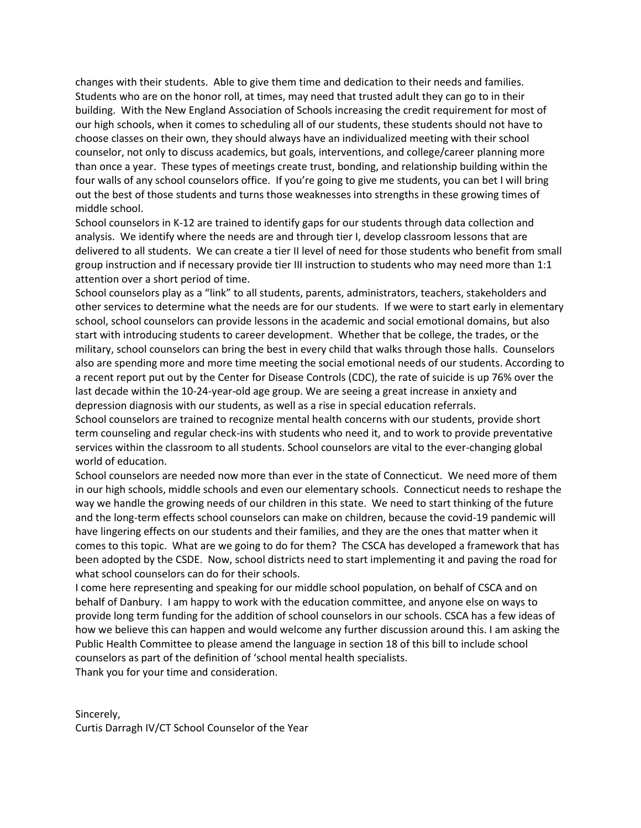changes with their students. Able to give them time and dedication to their needs and families. Students who are on the honor roll, at times, may need that trusted adult they can go to in their building. With the New England Association of Schools increasing the credit requirement for most of our high schools, when it comes to scheduling all of our students, these students should not have to choose classes on their own, they should always have an individualized meeting with their school counselor, not only to discuss academics, but goals, interventions, and college/career planning more than once a year. These types of meetings create trust, bonding, and relationship building within the four walls of any school counselors office. If you're going to give me students, you can bet I will bring out the best of those students and turns those weaknesses into strengths in these growing times of middle school.

School counselors in K-12 are trained to identify gaps for our students through data collection and analysis. We identify where the needs are and through tier I, develop classroom lessons that are delivered to all students. We can create a tier II level of need for those students who benefit from small group instruction and if necessary provide tier III instruction to students who may need more than 1:1 attention over a short period of time.

School counselors play as a "link" to all students, parents, administrators, teachers, stakeholders and other services to determine what the needs are for our students. If we were to start early in elementary school, school counselors can provide lessons in the academic and social emotional domains, but also start with introducing students to career development. Whether that be college, the trades, or the military, school counselors can bring the best in every child that walks through those halls. Counselors also are spending more and more time meeting the social emotional needs of our students. According to a recent report put out by the Center for Disease Controls (CDC), the rate of suicide is up 76% over the last decade within the 10-24-year-old age group. We are seeing a great increase in anxiety and depression diagnosis with our students, as well as a rise in special education referrals.

School counselors are trained to recognize mental health concerns with our students, provide short term counseling and regular check-ins with students who need it, and to work to provide preventative services within the classroom to all students. School counselors are vital to the ever-changing global world of education.

School counselors are needed now more than ever in the state of Connecticut. We need more of them in our high schools, middle schools and even our elementary schools. Connecticut needs to reshape the way we handle the growing needs of our children in this state. We need to start thinking of the future and the long-term effects school counselors can make on children, because the covid-19 pandemic will have lingering effects on our students and their families, and they are the ones that matter when it comes to this topic. What are we going to do for them? The CSCA has developed a framework that has been adopted by the CSDE. Now, school districts need to start implementing it and paving the road for what school counselors can do for their schools.

I come here representing and speaking for our middle school population, on behalf of CSCA and on behalf of Danbury. I am happy to work with the education committee, and anyone else on ways to provide long term funding for the addition of school counselors in our schools. CSCA has a few ideas of how we believe this can happen and would welcome any further discussion around this. I am asking the Public Health Committee to please amend the language in section 18 of this bill to include school counselors as part of the definition of 'school mental health specialists. Thank you for your time and consideration.

Sincerely, Curtis Darragh IV/CT School Counselor of the Year